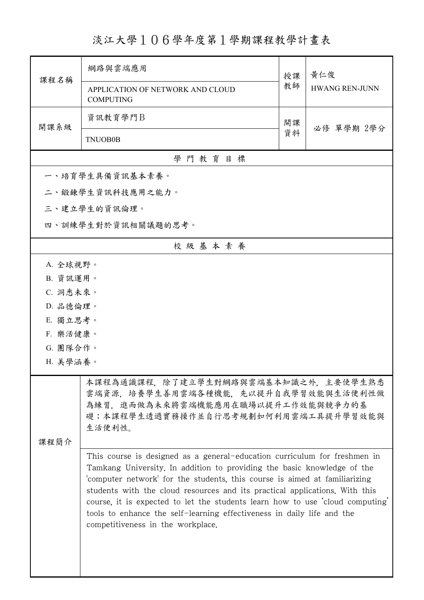淡江大學106學年度第1學期課程教學計畫表

|                    | 網路與雲端應用                                                                                                                                                                                                                                                                                                                                                                                                                                                                                                         | 授課 | 黃仁俊                   |  |  |  |
|--------------------|-----------------------------------------------------------------------------------------------------------------------------------------------------------------------------------------------------------------------------------------------------------------------------------------------------------------------------------------------------------------------------------------------------------------------------------------------------------------------------------------------------------------|----|-----------------------|--|--|--|
| 課程名稱               | APPLICATION OF NETWORK AND CLOUD<br><b>COMPUTING</b>                                                                                                                                                                                                                                                                                                                                                                                                                                                            | 教師 | <b>HWANG REN-JUNN</b> |  |  |  |
| 開課系級               | 資訊教育學門B                                                                                                                                                                                                                                                                                                                                                                                                                                                                                                         | 開課 | 必修 單學期 2學分            |  |  |  |
|                    | <b>TNUOB0B</b>                                                                                                                                                                                                                                                                                                                                                                                                                                                                                                  | 資料 |                       |  |  |  |
| 學門教育目標             |                                                                                                                                                                                                                                                                                                                                                                                                                                                                                                                 |    |                       |  |  |  |
| 一、培育學生具備資訊基本素養。    |                                                                                                                                                                                                                                                                                                                                                                                                                                                                                                                 |    |                       |  |  |  |
| 二、鍛鍊學生資訊科技應用之能力。   |                                                                                                                                                                                                                                                                                                                                                                                                                                                                                                                 |    |                       |  |  |  |
| 三、建立學生的資訊倫理。       |                                                                                                                                                                                                                                                                                                                                                                                                                                                                                                                 |    |                       |  |  |  |
| 四、訓練學生對於資訊相關議題的思考。 |                                                                                                                                                                                                                                                                                                                                                                                                                                                                                                                 |    |                       |  |  |  |
| 校級基本素養             |                                                                                                                                                                                                                                                                                                                                                                                                                                                                                                                 |    |                       |  |  |  |
|                    | A. 全球視野。                                                                                                                                                                                                                                                                                                                                                                                                                                                                                                        |    |                       |  |  |  |
| B. 資訊運用。           |                                                                                                                                                                                                                                                                                                                                                                                                                                                                                                                 |    |                       |  |  |  |
| C. 洞悉未來。           |                                                                                                                                                                                                                                                                                                                                                                                                                                                                                                                 |    |                       |  |  |  |
| D. 品德倫理。           |                                                                                                                                                                                                                                                                                                                                                                                                                                                                                                                 |    |                       |  |  |  |
| E. 獨立思考。           |                                                                                                                                                                                                                                                                                                                                                                                                                                                                                                                 |    |                       |  |  |  |
|                    | F. 樂活健康。                                                                                                                                                                                                                                                                                                                                                                                                                                                                                                        |    |                       |  |  |  |
| G. 團隊合作。           |                                                                                                                                                                                                                                                                                                                                                                                                                                                                                                                 |    |                       |  |  |  |
| H. 美學涵養。           |                                                                                                                                                                                                                                                                                                                                                                                                                                                                                                                 |    |                       |  |  |  |
| 课程简介               | 本課程為通識課程,除了建立學生對網路與雲端基本知識之外,主要使學生熟悉<br>雲端資源,培養學生善用雲端各種機能,先以提升自我學習效能與生活便利性做<br>為練習, 進而做為未來將雲端機能應用在職場以提升工作效能與競爭力的基<br>礎;本課程學生透過實務操作並自行思考規劃如何利用雲端工具提升學習效能與<br>生活便利性。                                                                                                                                                                                                                                                                                                                                               |    |                       |  |  |  |
|                    | This course is designed as a general-education curriculum for freshmen in<br>Tamkang University. In addition to providing the basic knowledge of the<br>computer network for the students, this course is aimed at familiarizing<br>students with the cloud resources and its practical applications. With this<br>course, it is expected to let the students learn how to use 'cloud computing'<br>tools to enhance the self-learning effectiveness in daily life and the<br>competitiveness in the workplace. |    |                       |  |  |  |

ı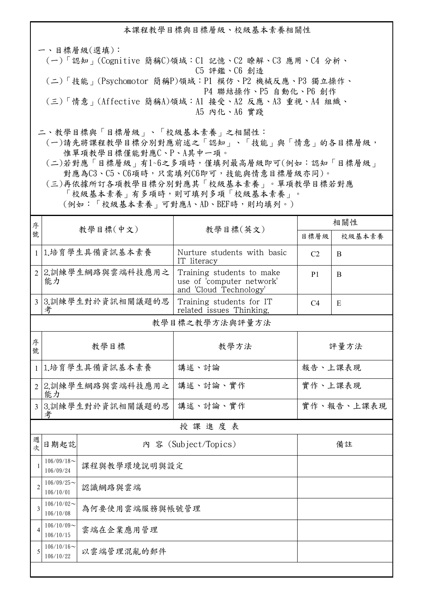本課程教學目標與目標層級、校級基本素養相關性 一、目標層級(選填): (一)「認知」(Cognitive 簡稱C)領域:C1 記憶、C2 瞭解、C3 應用、C4 分析、 C5 評鑑、C6 創造 (二)「技能」(Psychomotor 簡稱P)領域:P1 模仿、P2 機械反應、P3 獨立操作、 P4 聯結操作、P5 自動化、P6 創作 (三)「情意」(Affective 簡稱A)領域:A1 接受、A2 反應、A3 重視、A4 組織、 A5 內化、A6 實踐

二、教學目標與「目標層級」、「校級基本素養」之相關性:

 (一)請先將課程教學目標分別對應前述之「認知」、「技能」與「情意」的各目標層級, 惟單項教學目標僅能對應C、P、A其中一項。

 (二)若對應「目標層級」有1~6之多項時,僅填列最高層級即可(例如:認知「目標層級」 對應為C3、C5、C6項時,只需填列C6即可,技能與情意目標層級亦同)。

 (三)再依據所訂各項教學目標分別對應其「校級基本素養」。單項教學目標若對應 「校級基本素養」有多項時,則可填列多項「校級基本素養」。 (例如:「校級基本素養」可對應A、AD、BEF時,則均填列。)

| 序              | 教學目標(中文)                                     |                    |                                                                                  | 相關性                 |        |  |  |
|----------------|----------------------------------------------|--------------------|----------------------------------------------------------------------------------|---------------------|--------|--|--|
| 號              |                                              |                    | 教學目標(英文)                                                                         | 目標層級                | 校級基本素養 |  |  |
| $\mathbf{1}$   | 1.培育學生具備資訊基本素養                               |                    | Nurture students with basic<br>IT literacy                                       | C <sub>2</sub><br>B |        |  |  |
| 2 <sup>1</sup> | 2.訓練學生網路與雲端科技應用之<br>能力                       |                    | Training students to make<br>use of 'computer network'<br>and 'Cloud Technology' | P <sub>1</sub>      | B      |  |  |
| $\overline{3}$ | 3.訓練學生對於資訊相關議題的思<br>考                        |                    | Training students for IT<br>related issues Thinking.                             | C <sub>4</sub>      | E      |  |  |
| 教學目標之教學方法與評量方法 |                                              |                    |                                                                                  |                     |        |  |  |
| 序<br>號         | 教學目標                                         |                    | 教學方法                                                                             | 評量方法                |        |  |  |
|                | 1 1.培育學生具備資訊基本素養                             |                    | 講述、討論                                                                            | 報告、上課表現             |        |  |  |
| $\overline{2}$ | 2.訓練學生網路與雲端科技應用之<br>能力                       |                    | 講述、討論、實作                                                                         | 實作、上課表現             |        |  |  |
|                | 考                                            | 3 3.訓練學生對於資訊相關議題的思 | 講述、討論、實作                                                                         | 實作、報告、上課表現          |        |  |  |
| 授課進度表          |                                              |                    |                                                                                  |                     |        |  |  |
| 週<br>次         | 日期起訖                                         |                    | 內 容 (Subject/Topics)                                                             | 備註                  |        |  |  |
| $\mathbf{1}$   | $106/09/18$ ~<br>106/09/24                   | 課程與教學環境說明與設定       |                                                                                  |                     |        |  |  |
| $\overline{c}$ | $106/09/25$ ~<br>106/10/01                   | 認識網路與雲端            |                                                                                  |                     |        |  |  |
| $\overline{3}$ | $106/10/02$ ~<br>為何要使用雲端服務與帳號管理<br>106/10/08 |                    |                                                                                  |                     |        |  |  |
| $\overline{4}$ | $106/10/09$ ~<br>雲端在企業應用管理<br>106/10/15      |                    |                                                                                  |                     |        |  |  |
| 5              | $106/10/16$ ~<br>以雲端管理混亂的郵件<br>106/10/22     |                    |                                                                                  |                     |        |  |  |
|                |                                              |                    |                                                                                  |                     |        |  |  |